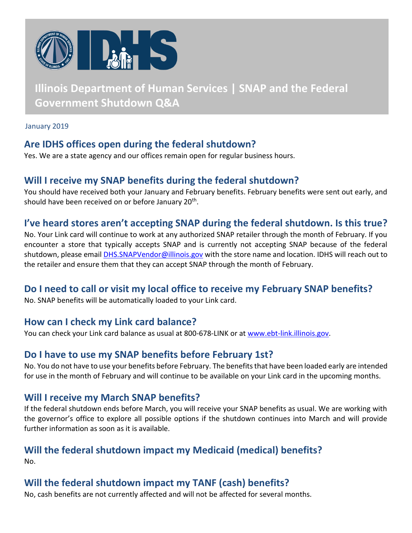

# **Illinois Department of Human Services | SNAP and the Federal Government Shutdown Q&A**

January 2019

# **Are IDHS offices open during the federal shutdown?**

Yes. We are a state agency and our offices remain open for regular business hours.

# **Will I receive my SNAP benefits during the federal shutdown?**

You should have received both your January and February benefits. February benefits were sent out early, and should have been received on or before January 20<sup>th</sup>.

### **I've heard stores aren't accepting SNAP during the federal shutdown. Is this true?**

No. Your Link card will continue to work at any authorized SNAP retailer through the month of February. If you encounter a store that typically accepts SNAP and is currently not accepting SNAP because of the federal shutdown, please email [DHS.SNAPVendor@illinois.gov](mailto:DHS.SNAPVendor@illinois.gov) with the store name and location. IDHS will reach out to the retailer and ensure them that they can accept SNAP through the month of February.

# **Do I need to call or visit my local office to receive my February SNAP benefits?**

No. SNAP benefits will be automatically loaded to your Link card.

#### **How can I check my Link card balance?**

You can check your Link card balance as usual at 800-678-LINK or at [www.ebt-link.illinois.gov.](http://www.ebt-link.illinois.gov/)

#### **Do I have to use my SNAP benefits before February 1st?**

No. You do not have to use your benefits before February. The benefits that have been loaded early are intended for use in the month of February and will continue to be available on your Link card in the upcoming months.

# **Will I receive my March SNAP benefits?**

If the federal shutdown ends before March, you will receive your SNAP benefits as usual. We are working with the governor's office to explore all possible options if the shutdown continues into March and will provide further information as soon as it is available.

# **Will the federal shutdown impact my Medicaid (medical) benefits?**

No.

# **Will the federal shutdown impact my TANF (cash) benefits?**

No, cash benefits are not currently affected and will not be affected for several months.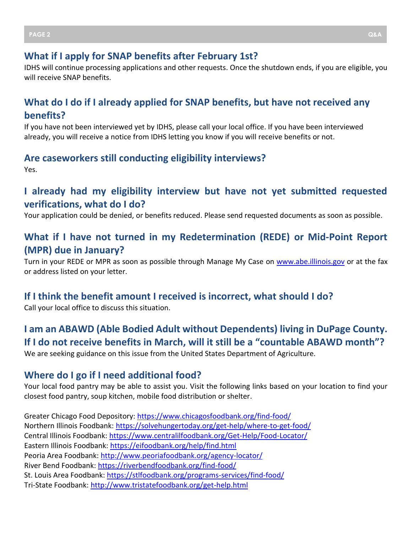#### **What if I apply for SNAP benefits after February 1st?**

IDHS will continue processing applications and other requests. Once the shutdown ends, if you are eligible, you will receive SNAP benefits.

# **What do I do if I already applied for SNAP benefits, but have not received any benefits?**

If you have not been interviewed yet by IDHS, please call your local office. If you have been interviewed already, you will receive a notice from IDHS letting you know if you will receive benefits or not.

#### **Are caseworkers still conducting eligibility interviews?** Yes.

# **I already had my eligibility interview but have not yet submitted requested verifications, what do I do?**

Your application could be denied, or benefits reduced. Please send requested documents as soon as possible.

# **What if I have not turned in my Redetermination (REDE) or Mid-Point Report (MPR) due in January?**

Turn in your REDE or MPR as soon as possible through Manage My Case on [www.abe.illinois.gov](http://www.abe.illinois.gov/) or at the fax or address listed on your letter.

#### **If I think the benefit amount I received is incorrect, what should I do?**

Call your local office to discuss this situation.

# **I am an ABAWD (Able Bodied Adult without Dependents) living in DuPage County. If I do not receive benefits in March, will it still be a "countable ABAWD month"?**

We are seeking guidance on this issue from the United States Department of Agriculture.

#### **Where do I go if I need additional food?**

Your local food pantry may be able to assist you. Visit the following links based on your location to find your closest food pantry, soup kitchen, mobile food distribution or shelter.

Greater Chicago Food Depository:<https://www.chicagosfoodbank.org/find-food/> Northern Illinois Foodbank:<https://solvehungertoday.org/get-help/where-to-get-food/> Central Illinois Foodbank:<https://www.centralilfoodbank.org/Get-Help/Food-Locator/> Eastern Illinois Foodbank:<https://eifoodbank.org/help/find.html> Peoria Area Foodbank:<http://www.peoriafoodbank.org/agency-locator/> River Bend Foodbank:<https://riverbendfoodbank.org/find-food/> St. Louis Area Foodbank:<https://stlfoodbank.org/programs-services/find-food/> Tri-State Foodbank:<http://www.tristatefoodbank.org/get-help.html>